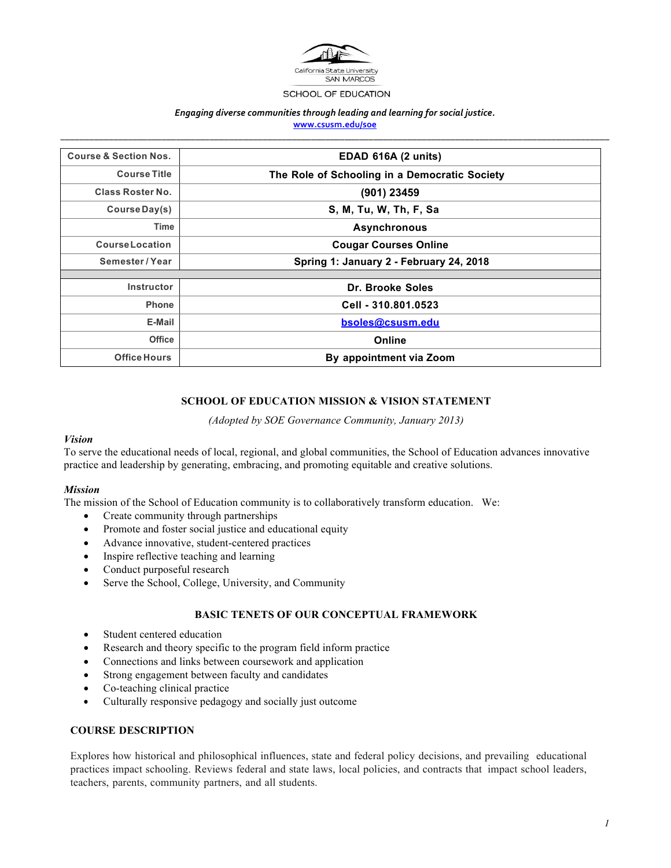

#### SCHOOL OF EDUCATION

#### *Engaging diverse communities through leading and learning for social justice.* **www.csusm.edu/soe** *\_\_\_\_\_\_\_\_\_\_\_\_\_\_\_\_\_\_\_\_\_\_\_\_\_\_\_\_\_\_\_\_\_\_\_\_\_\_\_\_\_\_\_\_\_\_\_\_\_\_\_\_\_\_\_\_\_\_\_\_\_\_\_\_\_\_\_\_\_\_\_\_\_\_\_\_\_\_\_\_\_\_\_\_\_\_\_\_\_\_\_\_\_\_\_\_\_\_\_\_\_\_\_\_\_\_\_\_\_\_\_\_\_\_*

**Course & Section Nos. EDAD 616A (2 units) Course Title The Role of Schooling in a Democratic Society Class Roster No. (901) 23459 Course Day(s) S, M, Tu, W, Th, F, Sa Time Asynchronous CourseLocation Cougar Courses Online Semester / Year Spring 1: January 2 - February 24, 2018 Instructor Dr. Brooke Soles Phone Cell - 310.801.0523 E-Mail bsoles@csusm.edu Office Online Office Hours By appointment via Zoom** 

# **SCHOOL OF EDUCATION MISSION & VISION STATEMENT**

*(Adopted by SOE Governance Community, January 2013)*

#### *Vision*

To serve the educational needs of local, regional, and global communities, the School of Education advances innovative practice and leadership by generating, embracing, and promoting equitable and creative solutions.

#### *Mission*

The mission of the School of Education community is to collaboratively transform education. We:

- Create community through partnerships
- Promote and foster social justice and educational equity
- Advance innovative, student-centered practices
- Inspire reflective teaching and learning
- Conduct purposeful research
- Serve the School, College, University, and Community

# **BASIC TENETS OF OUR CONCEPTUAL FRAMEWORK**

- Student centered education
- Research and theory specific to the program field inform practice
- Connections and links between coursework and application
- Strong engagement between faculty and candidates
- Co-teaching clinical practice
- Culturally responsive pedagogy and socially just outcome

# **COURSE DESCRIPTION**

Explores how historical and philosophical influences, state and federal policy decisions, and prevailing educational practices impact schooling. Reviews federal and state laws, local policies, and contracts that impact school leaders, teachers, parents, community partners, and all students.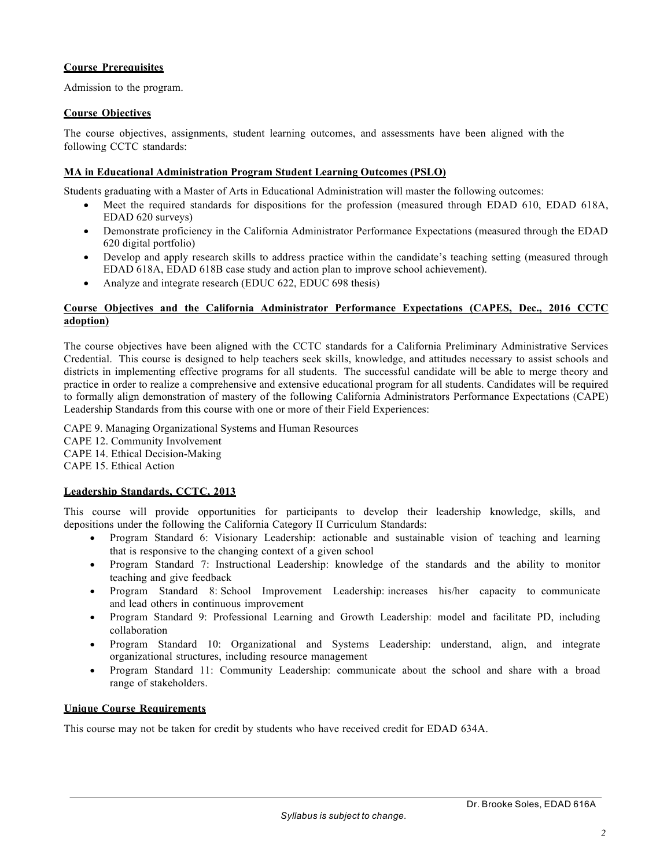# **Course Prerequisites**

Admission to the program.

### **Course Objectives**

The course objectives, assignments, student learning outcomes, and assessments have been aligned with the following CCTC standards:

### **MA in Educational Administration Program Student Learning Outcomes (PSLO)**

Students graduating with a Master of Arts in Educational Administration will master the following outcomes:

- Meet the required standards for dispositions for the profession (measured through EDAD 610, EDAD 618A, EDAD 620 surveys)
- Demonstrate proficiency in the California Administrator Performance Expectations (measured through the EDAD 620 digital portfolio)
- Develop and apply research skills to address practice within the candidate's teaching setting (measured through EDAD 618A, EDAD 618B case study and action plan to improve school achievement).
- Analyze and integrate research (EDUC 622, EDUC 698 thesis)

### **Course Objectives and the California Administrator Performance Expectations (CAPES, Dec., 2016 CCTC adoption)**

The course objectives have been aligned with the CCTC standards for a California Preliminary Administrative Services Credential. This course is designed to help teachers seek skills, knowledge, and attitudes necessary to assist schools and districts in implementing effective programs for all students. The successful candidate will be able to merge theory and practice in order to realize a comprehensive and extensive educational program for all students. Candidates will be required to formally align demonstration of mastery of the following California Administrators Performance Expectations (CAPE) Leadership Standards from this course with one or more of their Field Experiences:

CAPE 9. Managing Organizational Systems and Human Resources CAPE 12. Community Involvement CAPE 14. Ethical Decision-Making CAPE 15. Ethical Action

# **Leadership Standards, CCTC, 2013**

This course will provide opportunities for participants to develop their leadership knowledge, skills, and depositions under the following the California Category II Curriculum Standards:

- Program Standard 6: Visionary Leadership: actionable and sustainable vision of teaching and learning that is responsive to the changing context of a given school
- Program Standard 7: Instructional Leadership: knowledge of the standards and the ability to monitor teaching and give feedback
- Program Standard 8: School Improvement Leadership: increases his/her capacity to communicate and lead others in continuous improvement
- Program Standard 9: Professional Learning and Growth Leadership: model and facilitate PD, including collaboration
- Program Standard 10: Organizational and Systems Leadership: understand, align, and integrate organizational structures, including resource management
- Program Standard 11: Community Leadership: communicate about the school and share with a broad range of stakeholders.

#### **Unique Course Requirements**

This course may not be taken for credit by students who have received credit for EDAD 634A.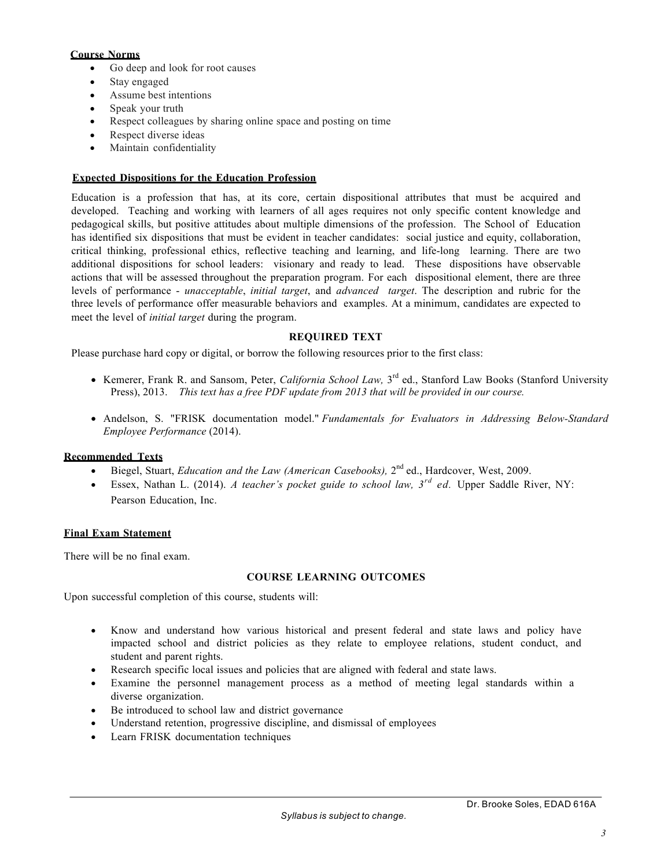# **Course Norms**

- Go deep and look for root causes
- Stay engaged
- Assume best intentions
- Speak your truth
- Respect colleagues by sharing online space and posting on time
- Respect diverse ideas
- Maintain confidentiality

# **Expected Dispositions for the Education Profession**

Education is a profession that has, at its core, certain dispositional attributes that must be acquired and developed. Teaching and working with learners of all ages requires not only specific content knowledge and pedagogical skills, but positive attitudes about multiple dimensions of the profession. The School of Education has identified six dispositions that must be evident in teacher candidates: social justice and equity, collaboration, critical thinking, professional ethics, reflective teaching and learning, and life-long learning. There are two additional dispositions for school leaders: visionary and ready to lead. These dispositions have observable actions that will be assessed throughout the preparation program. For each dispositional element, there are three levels of performance - *unacceptable*, *initial target*, and *advanced target*. The description and rubric for the three levels of performance offer measurable behaviors and examples. At a minimum, candidates are expected to meet the level of *initial target* during the program.

# **REQUIRED TEXT**

Please purchase hard copy or digital, or borrow the following resources prior to the first class:

- Kemerer, Frank R. and Sansom, Peter, *California School Law,* 3rd ed., Stanford Law Books (Stanford University Press), 2013. *This text has a free PDF update from 2013 that will be provided in our course.*
- Andelson, S. "FRISK documentation model." *Fundamentals for Evaluators in Addressing Below-Standard Employee Performance* (2014).

# **Recommended Texts**

- Biegel, Stuart, *Education and the Law (American Casebooks),* 2nd ed., Hardcover, West, 2009.
- Essex, Nathan L. (2014). *A teacher's pocket guide to school law, 3rd ed.* Upper Saddle River, NY: Pearson Education, Inc.

# **Final Exam Statement**

There will be no final exam.

# **COURSE LEARNING OUTCOMES**

Upon successful completion of this course, students will:

- Know and understand how various historical and present federal and state laws and policy have impacted school and district policies as they relate to employee relations, student conduct, and student and parent rights.
- Research specific local issues and policies that are aligned with federal and state laws.
- Examine the personnel management process as a method of meeting legal standards within a diverse organization.
- Be introduced to school law and district governance
- Understand retention, progressive discipline, and dismissal of employees
- Learn FRISK documentation techniques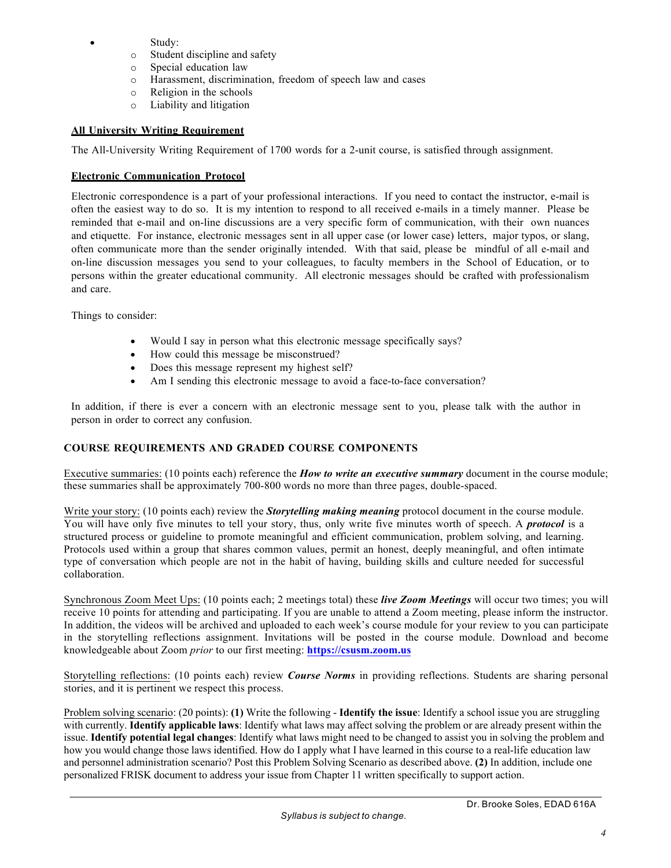- Study:
	- o Student discipline and safety
	- o Special education law
	- o Harassment, discrimination, freedom of speech law and cases
	- o Religion in the schools
	- o Liability and litigation

### **All University Writing Requirement**

The All-University Writing Requirement of 1700 words for a 2-unit course, is satisfied through assignment.

### **Electronic Communication Protocol**

Electronic correspondence is a part of your professional interactions. If you need to contact the instructor, e-mail is often the easiest way to do so. It is my intention to respond to all received e-mails in a timely manner. Please be reminded that e-mail and on-line discussions are a very specific form of communication, with their own nuances and etiquette. For instance, electronic messages sent in all upper case (or lower case) letters, major typos, or slang, often communicate more than the sender originally intended. With that said, please be mindful of all e-mail and on-line discussion messages you send to your colleagues, to faculty members in the School of Education, or to persons within the greater educational community. All electronic messages should be crafted with professionalism and care.

Things to consider:

- Would I say in person what this electronic message specifically says?
- How could this message be misconstrued?
- Does this message represent my highest self?
- Am I sending this electronic message to avoid a face-to-face conversation?

In addition, if there is ever a concern with an electronic message sent to you, please talk with the author in person in order to correct any confusion.

# **COURSE REQUIREMENTS AND GRADED COURSE COMPONENTS**

Executive summaries: (10 points each) reference the *How to write an executive summary* document in the course module; these summaries shall be approximately 700-800 words no more than three pages, double-spaced.

Write your story: (10 points each) review the *Storytelling making meaning* protocol document in the course module. You will have only five minutes to tell your story, thus, only write five minutes worth of speech. A *protocol* is a structured process or guideline to promote meaningful and efficient communication, problem solving, and learning. Protocols used within a group that shares common values, permit an honest, deeply meaningful, and often intimate type of conversation which people are not in the habit of having, building skills and culture needed for successful collaboration.

Synchronous Zoom Meet Ups: (10 points each; 2 meetings total) these *live Zoom Meetings* will occur two times; you will receive 10 points for attending and participating. If you are unable to attend a Zoom meeting, please inform the instructor. In addition, the videos will be archived and uploaded to each week's course module for your review to you can participate in the storytelling reflections assignment. Invitations will be posted in the course module. Download and become knowledgeable about Zoom *prior* to our first meeting: **https://csusm.zoom.us**

Storytelling reflections: (10 points each) review *Course Norms* in providing reflections. Students are sharing personal stories, and it is pertinent we respect this process.

Problem solving scenario: (20 points): **(1)** Write the following - **Identify the issue**: Identify a school issue you are struggling with currently. **Identify applicable laws**: Identify what laws may affect solving the problem or are already present within the issue. **Identify potential legal changes**: Identify what laws might need to be changed to assist you in solving the problem and how you would change those laws identified. How do I apply what I have learned in this course to a real-life education law and personnel administration scenario? Post this Problem Solving Scenario as described above. **(2)** In addition, include one personalized FRISK document to address your issue from Chapter 11 written specifically to support action.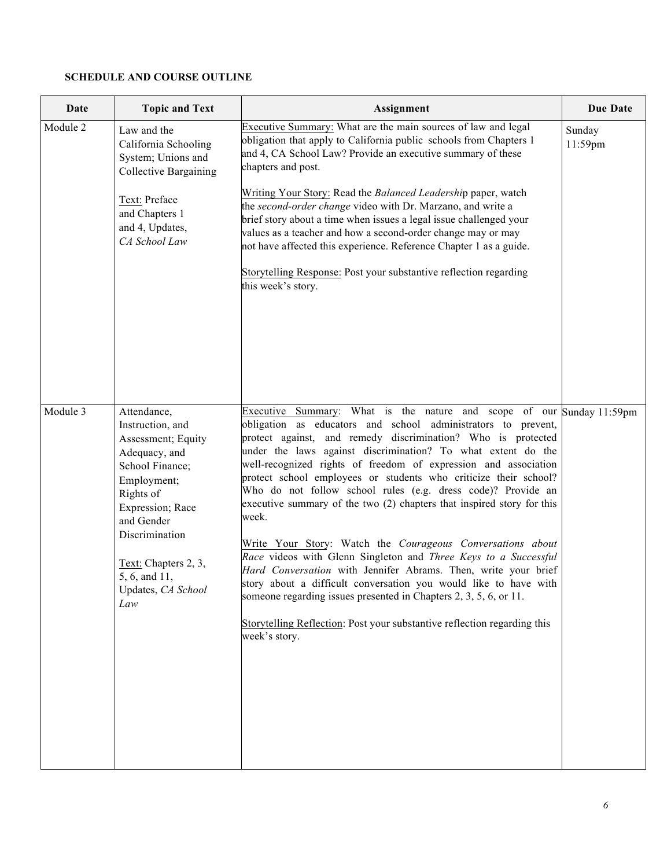# **SCHEDULE AND COURSE OUTLINE**

| Date     | <b>Topic and Text</b>                                                                                                                                                                                                                           | Assignment                                                                                                                                                                                                                                                                                                                                                                                                                                                                                                                                                                                                                                                                                                                                                                                                                                                                                                                                                                                                | Due Date          |
|----------|-------------------------------------------------------------------------------------------------------------------------------------------------------------------------------------------------------------------------------------------------|-----------------------------------------------------------------------------------------------------------------------------------------------------------------------------------------------------------------------------------------------------------------------------------------------------------------------------------------------------------------------------------------------------------------------------------------------------------------------------------------------------------------------------------------------------------------------------------------------------------------------------------------------------------------------------------------------------------------------------------------------------------------------------------------------------------------------------------------------------------------------------------------------------------------------------------------------------------------------------------------------------------|-------------------|
| Module 2 | Law and the<br>California Schooling<br>System; Unions and<br><b>Collective Bargaining</b><br>Text: Preface<br>and Chapters 1<br>and 4, Updates,<br>CA School Law                                                                                | Executive Summary: What are the main sources of law and legal<br>obligation that apply to California public schools from Chapters 1<br>and 4, CA School Law? Provide an executive summary of these<br>chapters and post.<br>Writing Your Story: Read the Balanced Leadership paper, watch<br>the second-order change video with Dr. Marzano, and write a<br>brief story about a time when issues a legal issue challenged your<br>values as a teacher and how a second-order change may or may<br>not have affected this experience. Reference Chapter 1 as a guide.<br>Storytelling Response: Post your substantive reflection regarding<br>this week's story.                                                                                                                                                                                                                                                                                                                                           | Sunday<br>11:59pm |
| Module 3 | Attendance,<br>Instruction, and<br>Assessment; Equity<br>Adequacy, and<br>School Finance;<br>Employment;<br>Rights of<br>Expression; Race<br>and Gender<br>Discrimination<br>Text: Chapters 2, 3,<br>5, 6, and 11,<br>Updates, CA School<br>Law | Executive Summary: What is the nature and scope of our Sunday 11:59pm<br>obligation as educators and school administrators to prevent,<br>protect against, and remedy discrimination? Who is protected<br>under the laws against discrimination? To what extent do the<br>well-recognized rights of freedom of expression and association<br>protect school employees or students who criticize their school?<br>Who do not follow school rules (e.g. dress code)? Provide an<br>executive summary of the two (2) chapters that inspired story for this<br>week.<br>Write Your Story: Watch the Courageous Conversations about<br>Race videos with Glenn Singleton and Three Keys to a Successful<br>Hard Conversation with Jennifer Abrams. Then, write your brief<br>story about a difficult conversation you would like to have with<br>someone regarding issues presented in Chapters 2, 3, 5, 6, or 11.<br>Storytelling Reflection: Post your substantive reflection regarding this<br>week's story. |                   |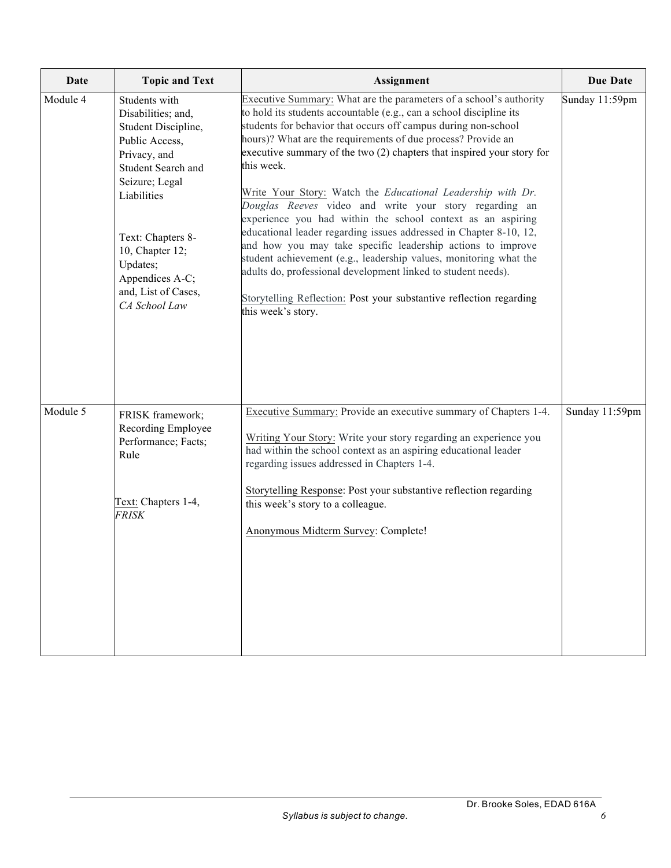| Date     | <b>Topic and Text</b>                                                                                                                                                                                                                                              | Assignment                                                                                                                                                                                                                                                                                                                                                                                                                                                                                                                                                                                                                                                                                                                                                                                                                                                                                                                          | <b>Due Date</b> |
|----------|--------------------------------------------------------------------------------------------------------------------------------------------------------------------------------------------------------------------------------------------------------------------|-------------------------------------------------------------------------------------------------------------------------------------------------------------------------------------------------------------------------------------------------------------------------------------------------------------------------------------------------------------------------------------------------------------------------------------------------------------------------------------------------------------------------------------------------------------------------------------------------------------------------------------------------------------------------------------------------------------------------------------------------------------------------------------------------------------------------------------------------------------------------------------------------------------------------------------|-----------------|
| Module 4 | Students with<br>Disabilities; and,<br>Student Discipline,<br>Public Access,<br>Privacy, and<br>Student Search and<br>Seizure; Legal<br>Liabilities<br>Text: Chapters 8-<br>10, Chapter 12;<br>Updates;<br>Appendices A-C;<br>and, List of Cases,<br>CA School Law | Executive Summary: What are the parameters of a school's authority<br>to hold its students accountable (e.g., can a school discipline its<br>students for behavior that occurs off campus during non-school<br>hours)? What are the requirements of due process? Provide an<br>executive summary of the two (2) chapters that inspired your story for<br>this week.<br>Write Your Story: Watch the Educational Leadership with Dr.<br>Douglas Reeves video and write your story regarding an<br>experience you had within the school context as an aspiring<br>educational leader regarding issues addressed in Chapter 8-10, 12,<br>and how you may take specific leadership actions to improve<br>student achievement (e.g., leadership values, monitoring what the<br>adults do, professional development linked to student needs).<br>Storytelling Reflection: Post your substantive reflection regarding<br>this week's story. | Sunday 11:59pm  |
| Module 5 | FRISK framework;<br>Recording Employee<br>Performance; Facts;<br>Rule<br>Text: Chapters 1-4,<br><i>FRISK</i>                                                                                                                                                       | Executive Summary: Provide an executive summary of Chapters 1-4.<br>Writing Your Story: Write your story regarding an experience you<br>had within the school context as an aspiring educational leader<br>regarding issues addressed in Chapters 1-4.<br>Storytelling Response: Post your substantive reflection regarding<br>this week's story to a colleague.<br>Anonymous Midterm Survey: Complete!                                                                                                                                                                                                                                                                                                                                                                                                                                                                                                                             | Sunday 11:59pm  |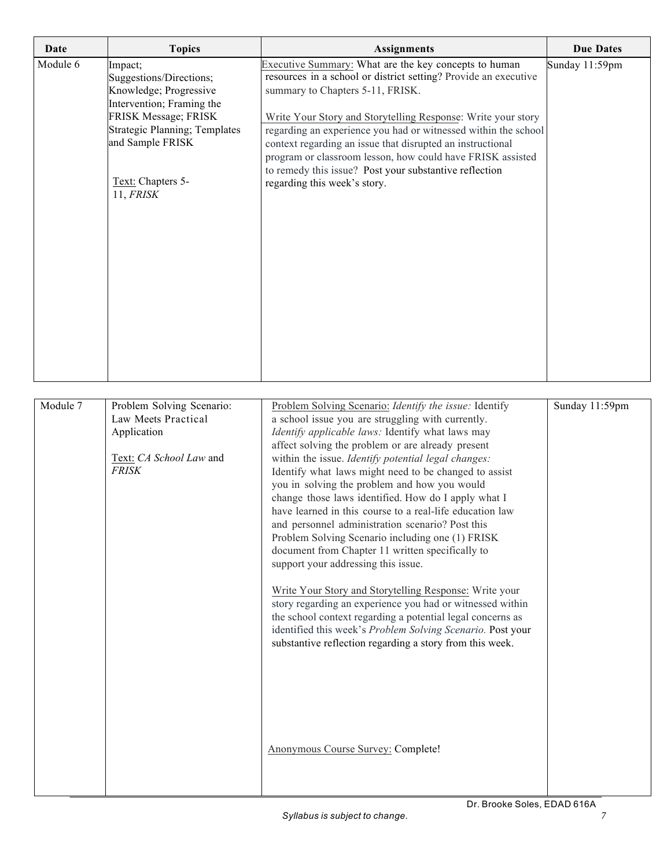| Date     | <b>Topics</b>                                     | <b>Assignments</b>                                                                                                           | <b>Due Dates</b> |
|----------|---------------------------------------------------|------------------------------------------------------------------------------------------------------------------------------|------------------|
| Module 6 | Impact;                                           | Executive Summary: What are the key concepts to human                                                                        | Sunday 11:59pm   |
|          | Suggestions/Directions;                           | resources in a school or district setting? Provide an executive                                                              |                  |
|          | Knowledge; Progressive                            | summary to Chapters 5-11, FRISK.                                                                                             |                  |
|          | Intervention; Framing the                         |                                                                                                                              |                  |
|          | FRISK Message; FRISK                              | Write Your Story and Storytelling Response: Write your story                                                                 |                  |
|          | Strategic Planning; Templates<br>and Sample FRISK | regarding an experience you had or witnessed within the school<br>context regarding an issue that disrupted an instructional |                  |
|          |                                                   | program or classroom lesson, how could have FRISK assisted<br>to remedy this issue? Post your substantive reflection         |                  |
|          | Text: Chapters 5-<br>11, FRISK                    | regarding this week's story.                                                                                                 |                  |
|          |                                                   |                                                                                                                              |                  |
|          |                                                   |                                                                                                                              |                  |
|          |                                                   |                                                                                                                              |                  |
|          |                                                   |                                                                                                                              |                  |
|          |                                                   |                                                                                                                              |                  |
|          |                                                   |                                                                                                                              |                  |
|          |                                                   |                                                                                                                              |                  |
|          |                                                   |                                                                                                                              |                  |
|          |                                                   |                                                                                                                              |                  |

| Module 7 | Problem Solving Scenario:<br>Law Meets Practical<br>Application<br>Text: CA School Law and<br><b>FRISK</b> | Problem Solving Scenario: Identify the issue: Identify<br>a school issue you are struggling with currently.<br>Identify applicable laws: Identify what laws may<br>affect solving the problem or are already present<br>within the issue. Identify potential legal changes:<br>Identify what laws might need to be changed to assist<br>you in solving the problem and how you would<br>change those laws identified. How do I apply what I<br>have learned in this course to a real-life education law<br>and personnel administration scenario? Post this<br>Problem Solving Scenario including one (1) FRISK<br>document from Chapter 11 written specifically to<br>support your addressing this issue.<br>Write Your Story and Storytelling Response: Write your<br>story regarding an experience you had or witnessed within<br>the school context regarding a potential legal concerns as<br>identified this week's Problem Solving Scenario. Post your<br>substantive reflection regarding a story from this week. | Sunday 11:59pm |
|----------|------------------------------------------------------------------------------------------------------------|---------------------------------------------------------------------------------------------------------------------------------------------------------------------------------------------------------------------------------------------------------------------------------------------------------------------------------------------------------------------------------------------------------------------------------------------------------------------------------------------------------------------------------------------------------------------------------------------------------------------------------------------------------------------------------------------------------------------------------------------------------------------------------------------------------------------------------------------------------------------------------------------------------------------------------------------------------------------------------------------------------------------------|----------------|
|          |                                                                                                            | Anonymous Course Survey: Complete!                                                                                                                                                                                                                                                                                                                                                                                                                                                                                                                                                                                                                                                                                                                                                                                                                                                                                                                                                                                        |                |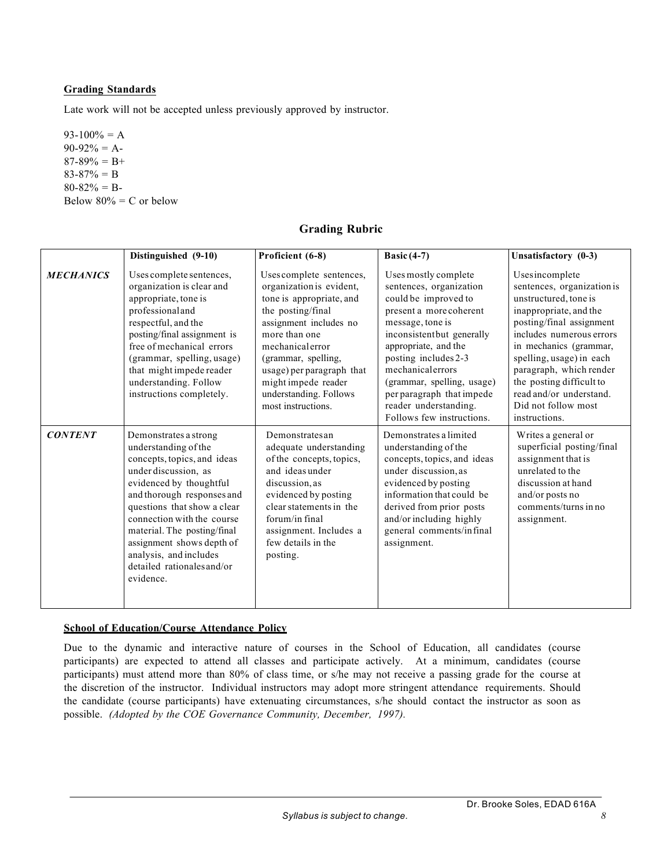### **Grading Standards**

Late work will not be accepted unless previously approved by instructor.

 $93-100% = A$  $90-92% = A$  $87-89\% = B+$  $83-87% = B$  $80-82% = B$ Below  $80\%$  = C or below

# **Grading Rubric**

|                  | Distinguished (9-10)                                                                                                                                                                                                                                                                                                                                        | Proficient (6-8)                                                                                                                                                                                                                                                                               | Basic $(4-7)$                                                                                                                                                                                                                                                                                                                            | Unsatisfactory (0-3)                                                                                                                                                                                                                                                                                                                    |
|------------------|-------------------------------------------------------------------------------------------------------------------------------------------------------------------------------------------------------------------------------------------------------------------------------------------------------------------------------------------------------------|------------------------------------------------------------------------------------------------------------------------------------------------------------------------------------------------------------------------------------------------------------------------------------------------|------------------------------------------------------------------------------------------------------------------------------------------------------------------------------------------------------------------------------------------------------------------------------------------------------------------------------------------|-----------------------------------------------------------------------------------------------------------------------------------------------------------------------------------------------------------------------------------------------------------------------------------------------------------------------------------------|
| <b>MECHANICS</b> | Uses complete sentences,<br>organization is clear and<br>appropriate, tone is<br>professional and<br>respectful, and the<br>posting/final assignment is<br>free of mechanical errors<br>(grammar, spelling, usage)<br>that might impede reader<br>understanding. Follow<br>instructions completely.                                                         | Uses complete sentences,<br>organization is evident,<br>tone is appropriate, and<br>the posting/final<br>assignment includes no<br>more than one<br>mechanicalerror<br>(grammar, spelling,<br>usage) per paragraph that<br>might impede reader<br>understanding. Follows<br>most instructions. | Uses mostly complete<br>sentences, organization<br>could be improved to<br>present a more coherent<br>message, tone is<br>inconsistentbut generally<br>appropriate, and the<br>posting includes 2-3<br>mechanicalerrors<br>(grammar, spelling, usage)<br>per paragraph that impede<br>reader understanding.<br>Follows few instructions. | Usesincomplete<br>sentences, organization is<br>unstructured, tone is<br>inappropriate, and the<br>posting/final assignment<br>includes numerous errors<br>in mechanics (grammar,<br>spelling, usage) in each<br>paragraph, which render<br>the posting difficult to<br>read and/or understand.<br>Did not follow most<br>instructions. |
| <b>CONTENT</b>   | Demonstrates a strong<br>understanding of the<br>concepts, topics, and ideas<br>under discussion, as<br>evidenced by thoughtful<br>and thorough responses and<br>questions that show a clear<br>connection with the course<br>material. The posting/final<br>assignment shows depth of<br>analysis, and includes<br>detailed rationales and/or<br>evidence. | Demonstratesan<br>adequate understanding<br>of the concepts, topics,<br>and ideasunder<br>discussion, as<br>evidenced by posting<br>clear statements in the<br>forum/in final<br>assignment. Includes a<br>few details in the<br>posting.                                                      | Demonstrates a limited<br>understanding of the<br>concepts, topics, and ideas<br>under discussion, as<br>evidenced by posting<br>information that could be<br>derived from prior posts<br>and/or including highly<br>general comments/infinal<br>assignment.                                                                             | Writes a general or<br>superficial posting/final<br>assignment that is<br>unrelated to the<br>discussion at hand<br>and/or posts no<br>comments/turns in no<br>assignment.                                                                                                                                                              |

#### **School of Education/Course Attendance Policy**

Due to the dynamic and interactive nature of courses in the School of Education, all candidates (course participants) are expected to attend all classes and participate actively. At a minimum, candidates (course participants) must attend more than 80% of class time, or s/he may not receive a passing grade for the course at the discretion of the instructor. Individual instructors may adopt more stringent attendance requirements. Should the candidate (course participants) have extenuating circumstances, s/he should contact the instructor as soon as possible. *(Adopted by the COE Governance Community, December, 1997).*